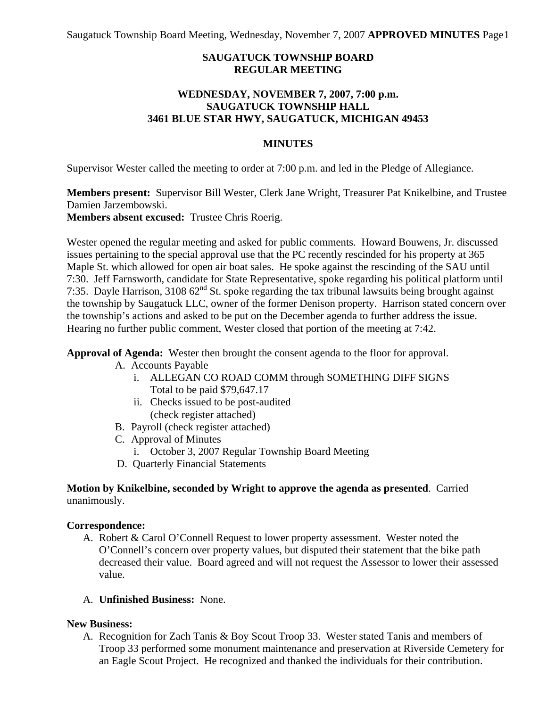Saugatuck Township Board Meeting, Wednesday, November 7, 2007 **APPROVED MINUTES** Page 1

# **SAUGATUCK TOWNSHIP BOARD REGULAR MEETING**

### **WEDNESDAY, NOVEMBER 7, 2007, 7:00 p.m. SAUGATUCK TOWNSHIP HALL 3461 BLUE STAR HWY, SAUGATUCK, MICHIGAN 49453**

### **MINUTES**

Supervisor Wester called the meeting to order at 7:00 p.m. and led in the Pledge of Allegiance.

**Members present:** Supervisor Bill Wester, Clerk Jane Wright, Treasurer Pat Knikelbine, and Trustee Damien Jarzembowski.

**Members absent excused:** Trustee Chris Roerig.

Wester opened the regular meeting and asked for public comments. Howard Bouwens, Jr. discussed issues pertaining to the special approval use that the PC recently rescinded for his property at 365 Maple St. which allowed for open air boat sales. He spoke against the rescinding of the SAU until 7:30. Jeff Farnsworth, candidate for State Representative, spoke regarding his political platform until 7:35. Dayle Harrison,  $310862^{nd}$  St. spoke regarding the tax tribunal lawsuits being brought against the township by Saugatuck LLC, owner of the former Denison property. Harrison stated concern over the township's actions and asked to be put on the December agenda to further address the issue. Hearing no further public comment, Wester closed that portion of the meeting at 7:42.

**Approval of Agenda:** Wester then brought the consent agenda to the floor for approval.

- A. Accounts Payable
	- i. ALLEGAN CO ROAD COMM through SOMETHING DIFF SIGNS Total to be paid \$79,647.17
	- ii. Checks issued to be post-audited (check register attached)
- B. Payroll (check register attached)
- C. Approval of Minutes
	- i. October 3, 2007 Regular Township Board Meeting
- D. Quarterly Financial Statements

### **Motion by Knikelbine, seconded by Wright to approve the agenda as presented**. Carried unanimously.

#### **Correspondence:**

- A. Robert & Carol O'Connell Request to lower property assessment. Wester noted the O'Connell's concern over property values, but disputed their statement that the bike path decreased their value. Board agreed and will not request the Assessor to lower their assessed value.
- A. **Unfinished Business:** None.

#### **New Business:**

A. Recognition for Zach Tanis & Boy Scout Troop 33. Wester stated Tanis and members of Troop 33 performed some monument maintenance and preservation at Riverside Cemetery for an Eagle Scout Project. He recognized and thanked the individuals for their contribution.